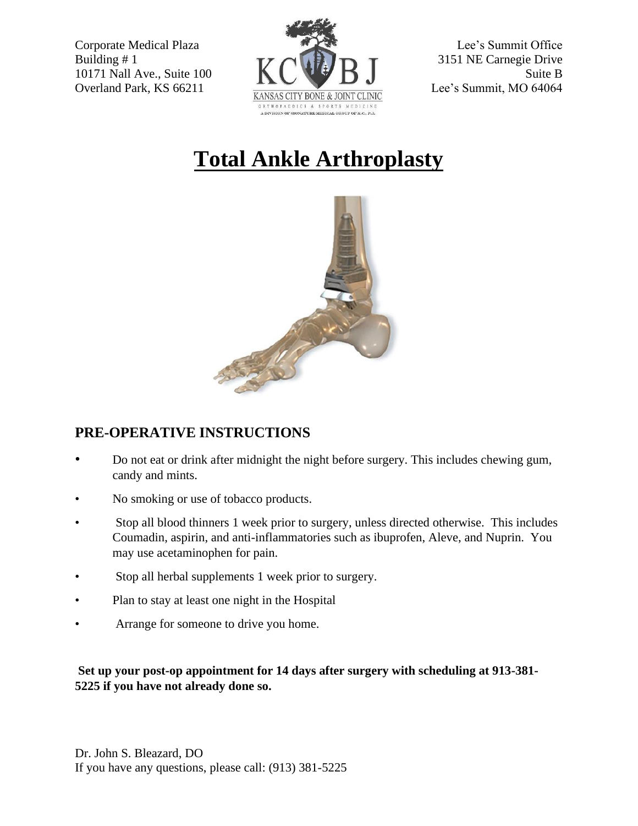

## **Total Ankle Arthroplasty**



## **PRE-OPERATIVE INSTRUCTIONS**

- Do not eat or drink after midnight the night before surgery. This includes chewing gum, candy and mints.
- No smoking or use of tobacco products.
- Stop all blood thinners 1 week prior to surgery, unless directed otherwise. This includes Coumadin, aspirin, and anti-inflammatories such as ibuprofen, Aleve, and Nuprin. You may use acetaminophen for pain.
- Stop all herbal supplements 1 week prior to surgery.
- Plan to stay at least one night in the Hospital
- Arrange for someone to drive you home.

## **Set up your post-op appointment for 14 days after surgery with scheduling at 913-381- 5225 if you have not already done so.**